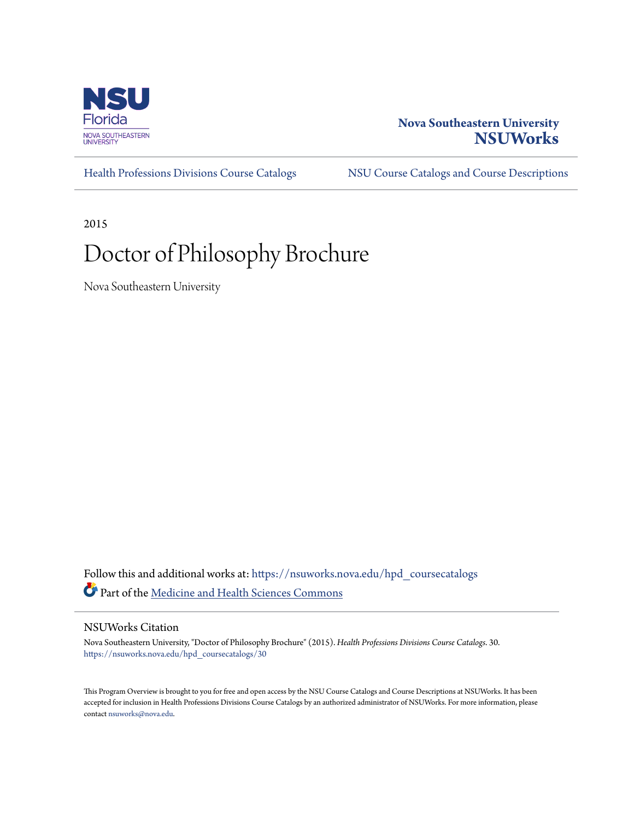

### **Nova Southeastern University [NSUWorks](https://nsuworks.nova.edu?utm_source=nsuworks.nova.edu%2Fhpd_coursecatalogs%2F30&utm_medium=PDF&utm_campaign=PDFCoverPages)**

[Health Professions Divisions Course Catalogs](https://nsuworks.nova.edu/hpd_coursecatalogs?utm_source=nsuworks.nova.edu%2Fhpd_coursecatalogs%2F30&utm_medium=PDF&utm_campaign=PDFCoverPages) [NSU Course Catalogs and Course Descriptions](https://nsuworks.nova.edu/nsu_catalogs?utm_source=nsuworks.nova.edu%2Fhpd_coursecatalogs%2F30&utm_medium=PDF&utm_campaign=PDFCoverPages)

2015

## Doctor of Philosophy Brochure

Nova Southeastern University

Follow this and additional works at: [https://nsuworks.nova.edu/hpd\\_coursecatalogs](https://nsuworks.nova.edu/hpd_coursecatalogs?utm_source=nsuworks.nova.edu%2Fhpd_coursecatalogs%2F30&utm_medium=PDF&utm_campaign=PDFCoverPages) Part of the [Medicine and Health Sciences Commons](http://network.bepress.com/hgg/discipline/648?utm_source=nsuworks.nova.edu%2Fhpd_coursecatalogs%2F30&utm_medium=PDF&utm_campaign=PDFCoverPages)

#### NSUWorks Citation

Nova Southeastern University, "Doctor of Philosophy Brochure" (2015). *Health Professions Divisions Course Catalogs*. 30. [https://nsuworks.nova.edu/hpd\\_coursecatalogs/30](https://nsuworks.nova.edu/hpd_coursecatalogs/30?utm_source=nsuworks.nova.edu%2Fhpd_coursecatalogs%2F30&utm_medium=PDF&utm_campaign=PDFCoverPages)

This Program Overview is brought to you for free and open access by the NSU Course Catalogs and Course Descriptions at NSUWorks. It has been accepted for inclusion in Health Professions Divisions Course Catalogs by an authorized administrator of NSUWorks. For more information, please contact [nsuworks@nova.edu](mailto:nsuworks@nova.edu).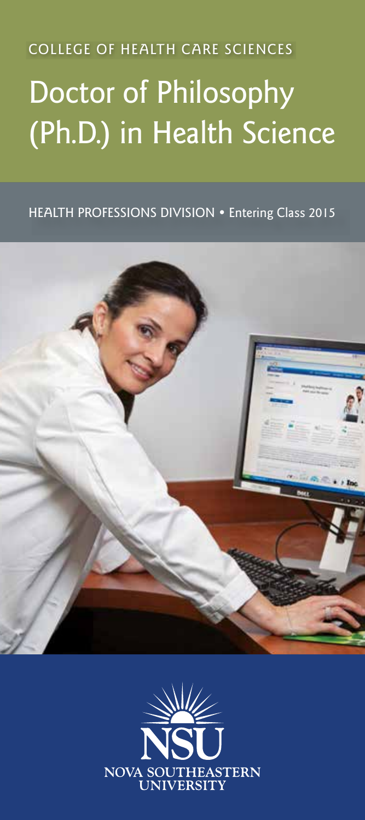## COLLEGE OF HEALTH CARE SCIENCES

# Doctor of Philosophy (Ph.D.) in Health Science

HEALTH PROFESSIONS DIVISION • Entering Class 2015



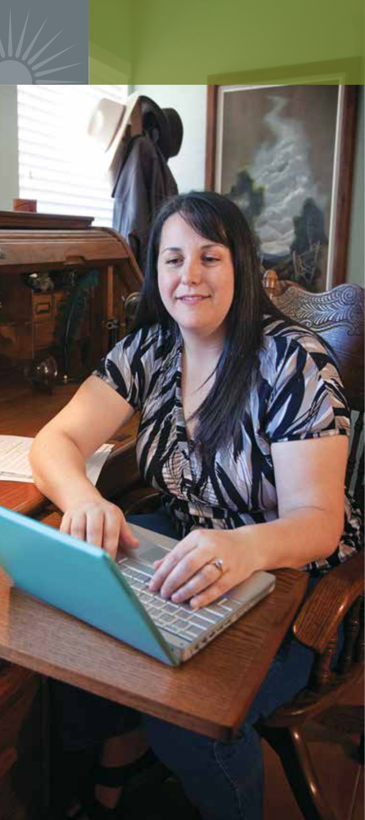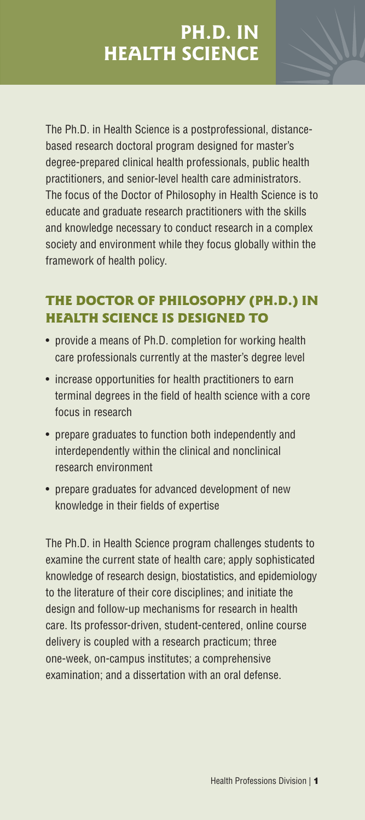## **PH.D. IN HEALTH SCIENCE**



The Ph.D. in Health Science is a postprofessional, distancebased research doctoral program designed for master's degree-prepared clinical health professionals, public health practitioners, and senior-level health care administrators. The focus of the Doctor of Philosophy in Health Science is to educate and graduate research practitioners with the skills and knowledge necessary to conduct research in a complex society and environment while they focus globally within the framework of health policy.

#### THE DOCTOR OF PHILOSOPHY (PH.D.) IN HEALTH SCIENCE IS DESIGNED TO

- provide a means of Ph.D. completion for working health care professionals currently at the master's degree level
- increase opportunities for health practitioners to earn terminal degrees in the field of health science with a core focus in research
- prepare graduates to function both independently and interdependently within the clinical and nonclinical research environment
- prepare graduates for advanced development of new knowledge in their fields of expertise

The Ph.D. in Health Science program challenges students to examine the current state of health care; apply sophisticated knowledge of research design, biostatistics, and epidemiology to the literature of their core disciplines; and initiate the design and follow-up mechanisms for research in health care. Its professor-driven, student-centered, online course delivery is coupled with a research practicum; three one-week, on-campus institutes; a comprehensive examination; and a dissertation with an oral defense.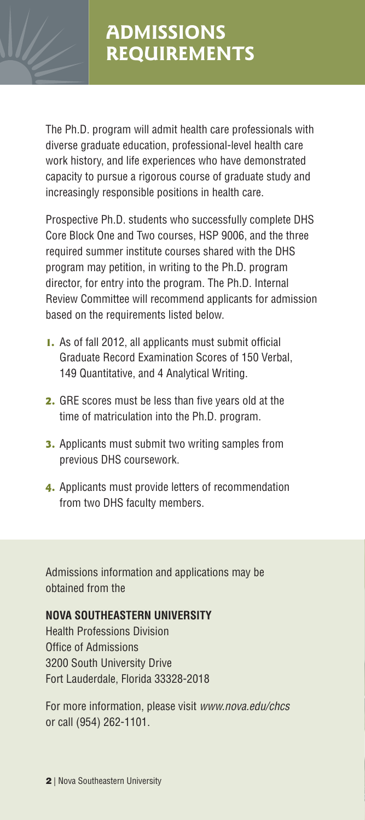## **ADMISSIONS REQUIREMENTS**

The Ph.D. program will admit health care professionals with diverse graduate education, professional-level health care work history, and life experiences who have demonstrated capacity to pursue a rigorous course of graduate study and increasingly responsible positions in health care.

Prospective Ph.D. students who successfully complete DHS Core Block One and Two courses, HSP 9006, and the three required summer institute courses shared with the DHS program may petition, in writing to the Ph.D. program director, for entry into the program. The Ph.D. Internal Review Committee will recommend applicants for admission based on the requirements listed below.

- 1. As of fall 2012, all applicants must submit official Graduate Record Examination Scores of 150 Verbal, 149 Quantitative, and 4 Analytical Writing.
- 2. GRE scores must be less than five years old at the time of matriculation into the Ph.D. program.
- **3.** Applicants must submit two writing samples from previous DHS coursework.
- 4. Applicants must provide letters of recommendation from two DHS faculty members.

Admissions information and applications may be obtained from the

#### **NOVA SOUTHEASTERN UNIVERSITY**

Health Professions Division Office of Admissions 3200 South University Drive Fort Lauderdale, Florida 33328-2018

For more information, please visit *www.nova.edu/chcs* or call (954) 262-1101.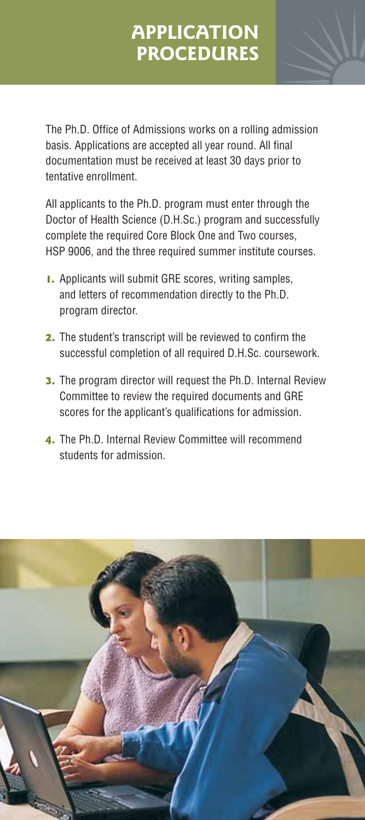## **APPLICATION PROCEDURES**



The Ph.D. Office of Admissions works on a rolling admission basis. Applications are accepted all year round. All final documentation must be received at least 30 days prior to tentative enrollment.

All applicants to the Ph.D. program must enter through the Doctor of Health Science (D.H.Sc.) program and successfully complete the required Core Block One and Two courses, HSP 9006, and the three required summer institute courses.

- 1. Applicants will submit GRE scores, writing samples, and letters of recommendation directly to the Ph.D. program director.
- 2. The student's transcript will be reviewed to confirm the successful completion of all required D.H.Sc. coursework.
- **3.** The program director will request the Ph.D. Internal Review Committee to review the required documents and GRE scores for the applicant's qualifications for admission.
- 4. The Ph.D. Internal Review Committee will recommend students for admission.

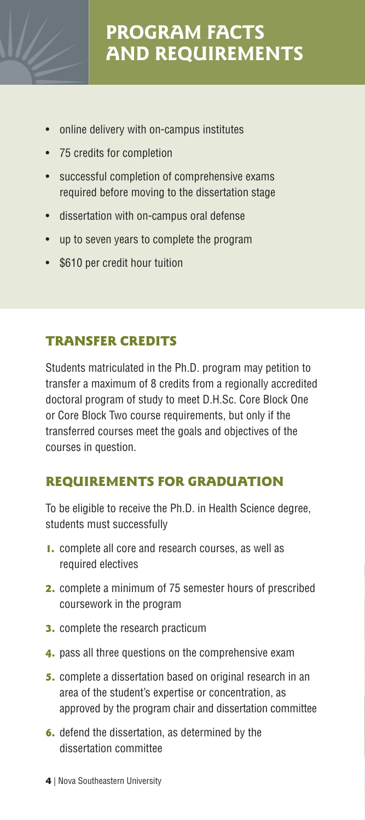

- online delivery with on-campus institutes
- 75 credits for completion
- successful completion of comprehensive exams required before moving to the dissertation stage
- dissertation with on-campus oral defense
- up to seven years to complete the program
- \$610 per credit hour tuition

#### TRANSFER CREDITS

Students matriculated in the Ph.D. program may petition to transfer a maximum of 8 credits from a regionally accredited doctoral program of study to meet D.H.Sc. Core Block One or Core Block Two course requirements, but only if the transferred courses meet the goals and objectives of the courses in question.

#### REQUIREMENTS FOR GRADUATION

To be eligible to receive the Ph.D. in Health Science degree, students must successfully

- 1. complete all core and research courses, as well as required electives
- 2. complete a minimum of 75 semester hours of prescribed coursework in the program
- **3.** complete the research practicum
- 4. pass all three questions on the comprehensive exam
- 5. complete a dissertation based on original research in an area of the student's expertise or concentration, as approved by the program chair and dissertation committee
- 6. defend the dissertation, as determined by the dissertation committee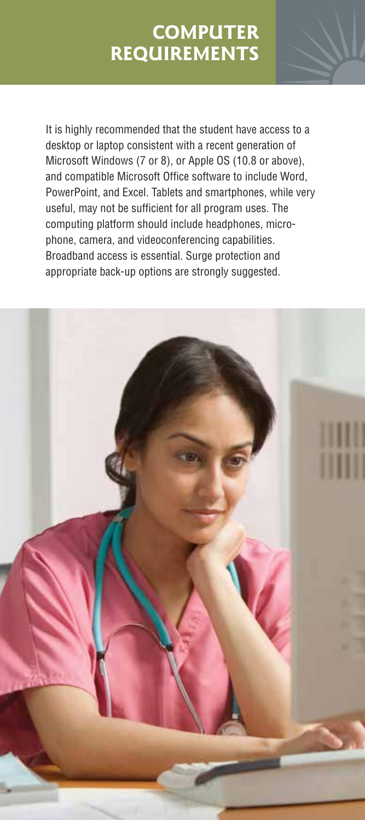## **COMPUTER REQUIREMENTS**

It is highly recommended that the student have access to a desktop or laptop consistent with a recent generation of Microsoft Windows (7 or 8), or Apple OS (10.8 or above), and compatible Microsoft Office software to include Word, PowerPoint, and Excel. Tablets and smartphones, while very useful, may not be sufficient for all program uses. The computing platform should include headphones, microphone, camera, and videoconferencing capabilities. Broadband access is essential. Surge protection and appropriate back-up options are strongly suggested.

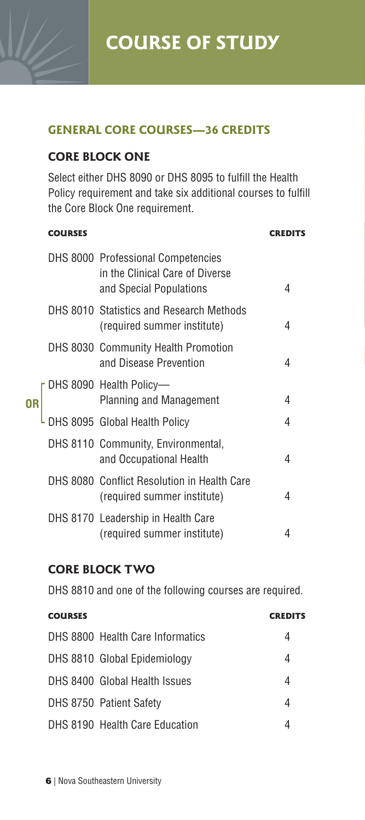**COURSE OF STUDY**

#### **GENERAL CORE COURSES—36 CREDITS**

#### **CORE BLOCK ONE**

Select either DHS 8090 or DHS 8095 to fulfill the Health Policy requirement and take six additional courses to fulfill the Core Block One requirement.

|    | <b>COURSES</b> |                                                                                                  | <b>CREDITS</b> |
|----|----------------|--------------------------------------------------------------------------------------------------|----------------|
|    |                | DHS 8000 Professional Competencies<br>in the Clinical Care of Diverse<br>and Special Populations | 4              |
|    |                | DHS 8010 Statistics and Research Methods<br>(required summer institute)                          | 4              |
|    |                | DHS 8030 Community Health Promotion<br>and Disease Prevention                                    | 4              |
| 0R |                | DHS 8090 Health Policy-<br>Planning and Management                                               | 4              |
|    |                | DHS 8095 Global Health Policy                                                                    | 4              |
|    |                | DHS 8110 Community, Environmental,<br>and Occupational Health                                    | 4              |
|    |                | DHS 8080 Conflict Resolution in Health Care<br>(required summer institute)                       | 4              |
|    |                | DHS 8170 Leadership in Health Care<br>(required summer institute)                                | 4              |

#### **CORE BLOCK TWO**

DHS 8810 and one of the following courses are required.

| <b>COURSES</b> | <b>CREDITS</b>                   |   |
|----------------|----------------------------------|---|
|                | DHS 8800 Health Care Informatics | 4 |
|                | DHS 8810 Global Epidemiology     | 4 |
|                | DHS 8400 Global Health Issues    | 4 |
|                | DHS 8750 Patient Safety          | 4 |
|                | DHS 8190 Health Care Education   | 4 |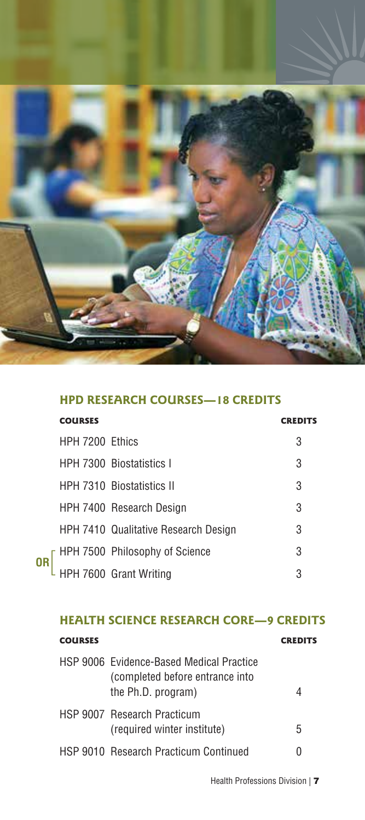

#### **HPD RESEARCH COURSES—18 CREDITS**

| <b>COURSES</b>  |                                      | <b>CREDITS</b> |
|-----------------|--------------------------------------|----------------|
| HPH 7200 Fthics |                                      | 3              |
|                 | HPH 7300 Biostatistics I             | 3              |
|                 | HPH 7310 Biostatistics II            | 3              |
|                 | HPH 7400 Research Design             | 3              |
|                 | HPH 7410 Qualitative Research Design | 3              |
|                 | HPH 7500 Philosophy of Science       | 3              |
|                 | - HPH 7600 Grant Writing             | 3              |

**OR**[

#### **HEALTH SCIENCE RESEARCH CORE—9 CREDITS**

| <b>COURSES</b> |                                                                                                   |   |
|----------------|---------------------------------------------------------------------------------------------------|---|
|                | HSP 9006 Evidence-Based Medical Practice<br>(completed before entrance into<br>the Ph.D. program) | 4 |
|                | HSP 9007 Research Practicum<br>(required winter institute)                                        | 5 |
|                | <b>HSP 9010 Research Practicum Continued</b>                                                      |   |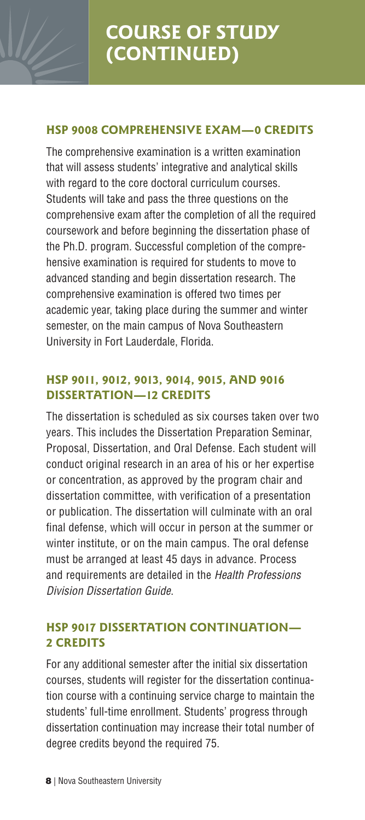## **COURSE OF STUDY (CONTINUED)**

#### **HSP 9008 COMPREHENSIVE EXAM—0 CREDITS**

The comprehensive examination is a written examination that will assess students' integrative and analytical skills with regard to the core doctoral curriculum courses. Students will take and pass the three questions on the comprehensive exam after the completion of all the required coursework and before beginning the dissertation phase of the Ph.D. program. Successful completion of the comprehensive examination is required for students to move to advanced standing and begin dissertation research. The comprehensive examination is offered two times per academic year, taking place during the summer and winter semester, on the main campus of Nova Southeastern University in Fort Lauderdale, Florida.

#### **HSP 9011, 9012, 9013, 9014, 9015, AND 9016 DISSERTATION—12 CREDITS**

The dissertation is scheduled as six courses taken over two years. This includes the Dissertation Preparation Seminar, Proposal, Dissertation, and Oral Defense. Each student will conduct original research in an area of his or her expertise or concentration, as approved by the program chair and dissertation committee, with verification of a presentation or publication. The dissertation will culminate with an oral final defense, which will occur in person at the summer or winter institute, or on the main campus. The oral defense must be arranged at least 45 days in advance. Process and requirements are detailed in the *Health Professions Division Dissertation Guide*.

#### **HSP 9017 DISSERTATION CONTINUATION— 2 CREDITS**

For any additional semester after the initial six dissertation courses, students will register for the dissertation continuation course with a continuing service charge to maintain the students' full-time enrollment. Students' progress through dissertation continuation may increase their total number of degree credits beyond the required 75.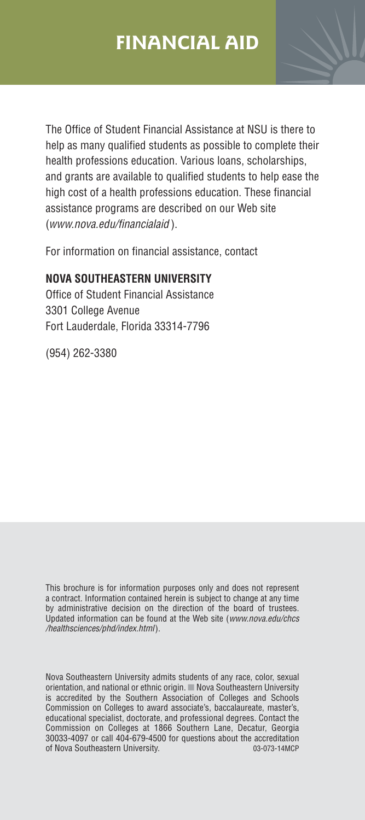## **FINANCIAL AID**



The Office of Student Financial Assistance at NSU is there to help as many qualified students as possible to complete their health professions education. Various loans, scholarships, and grants are available to qualified students to help ease the high cost of a health professions education. These financial assistance programs are described on our Web site (*www.nova.edu/financialaid* ).

For information on financial assistance, contact

#### **NOVA SOUTHEASTERN UNIVERSITY**

Office of Student Financial Assistance 3301 College Avenue Fort Lauderdale, Florida 33314-7796

(954) 262-3380

This brochure is for information purposes only and does not represent a contract. Information contained herein is subject to change at any time by administrative decision on the direction of the board of trustees. Updated information can be found at the Web site (*www.nova.edu/chcs /healthsciences/phd/index.html*).

Nova Southeastern University admits students of any race, color, sexual orientation, and national or ethnic origin. ■ Nova Southeastern University is accredited by the Southern Association of Colleges and Schools Commission on Colleges to award associate's, baccalaureate, master's, educational specialist, doctorate, and professional degrees. Contact the Commission on Colleges at 1866 Southern Lane, Decatur, Georgia 30033-4097 or call 404-679-4500 for questions about the accreditation of Nova Southeastern University. 03-073-14MCP